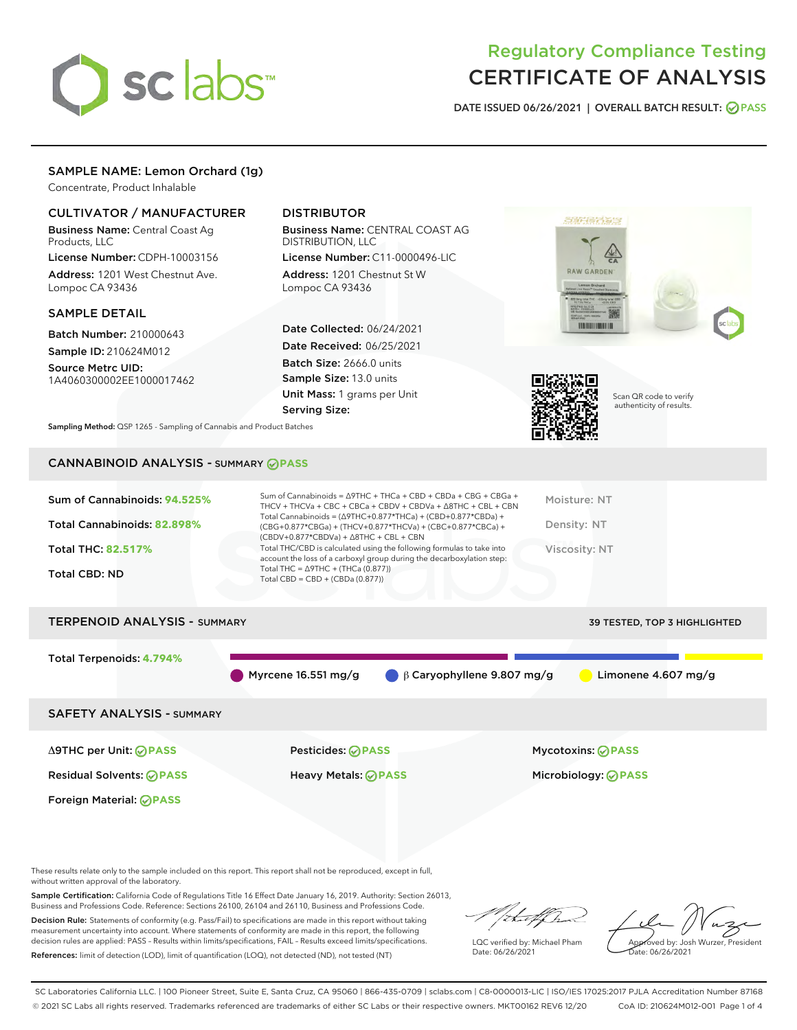

# Regulatory Compliance Testing CERTIFICATE OF ANALYSIS

DATE ISSUED 06/26/2021 | OVERALL BATCH RESULT: @ PASS

# SAMPLE NAME: Lemon Orchard (1g)

Concentrate, Product Inhalable

# CULTIVATOR / MANUFACTURER

Business Name: Central Coast Ag Products, LLC

License Number: CDPH-10003156 Address: 1201 West Chestnut Ave. Lompoc CA 93436

#### SAMPLE DETAIL

Batch Number: 210000643 Sample ID: 210624M012

Source Metrc UID: 1A4060300002EE1000017462

# DISTRIBUTOR

Business Name: CENTRAL COAST AG DISTRIBUTION, LLC

License Number: C11-0000496-LIC Address: 1201 Chestnut St W Lompoc CA 93436

Date Collected: 06/24/2021 Date Received: 06/25/2021 Batch Size: 2666.0 units Sample Size: 13.0 units Unit Mass: 1 grams per Unit Serving Size:





Scan QR code to verify authenticity of results.

Sampling Method: QSP 1265 - Sampling of Cannabis and Product Batches

# CANNABINOID ANALYSIS - SUMMARY **PASS**

### TERPENOID ANALYSIS - SUMMARY 39 TESTED, TOP 3 HIGHLIGHTED

Total Terpenoids: **4.794%**

Myrcene 16.551 mg/g β Caryophyllene 9.807 mg/g Limonene 4.607 mg/g

# SAFETY ANALYSIS - SUMMARY

Δ9THC per Unit: **PASS** Pesticides: **PASS** Mycotoxins: **PASS**

Foreign Material: **PASS**

Residual Solvents: **PASS** Heavy Metals: **PASS** Microbiology: **PASS**

These results relate only to the sample included on this report. This report shall not be reproduced, except in full, without written approval of the laboratory.

Sample Certification: California Code of Regulations Title 16 Effect Date January 16, 2019. Authority: Section 26013, Business and Professions Code. Reference: Sections 26100, 26104 and 26110, Business and Professions Code.

Decision Rule: Statements of conformity (e.g. Pass/Fail) to specifications are made in this report without taking measurement uncertainty into account. Where statements of conformity are made in this report, the following decision rules are applied: PASS – Results within limits/specifications, FAIL – Results exceed limits/specifications. References: limit of detection (LOD), limit of quantification (LOQ), not detected (ND), not tested (NT)

that fCh

LQC verified by: Michael Pham Date: 06/26/2021

Approved by: Josh Wurzer, President proved by: 585

SC Laboratories California LLC. | 100 Pioneer Street, Suite E, Santa Cruz, CA 95060 | 866-435-0709 | sclabs.com | C8-0000013-LIC | ISO/IES 17025:2017 PJLA Accreditation Number 87168 © 2021 SC Labs all rights reserved. Trademarks referenced are trademarks of either SC Labs or their respective owners. MKT00162 REV6 12/20 CoA ID: 210624M012-001 Page 1 of 4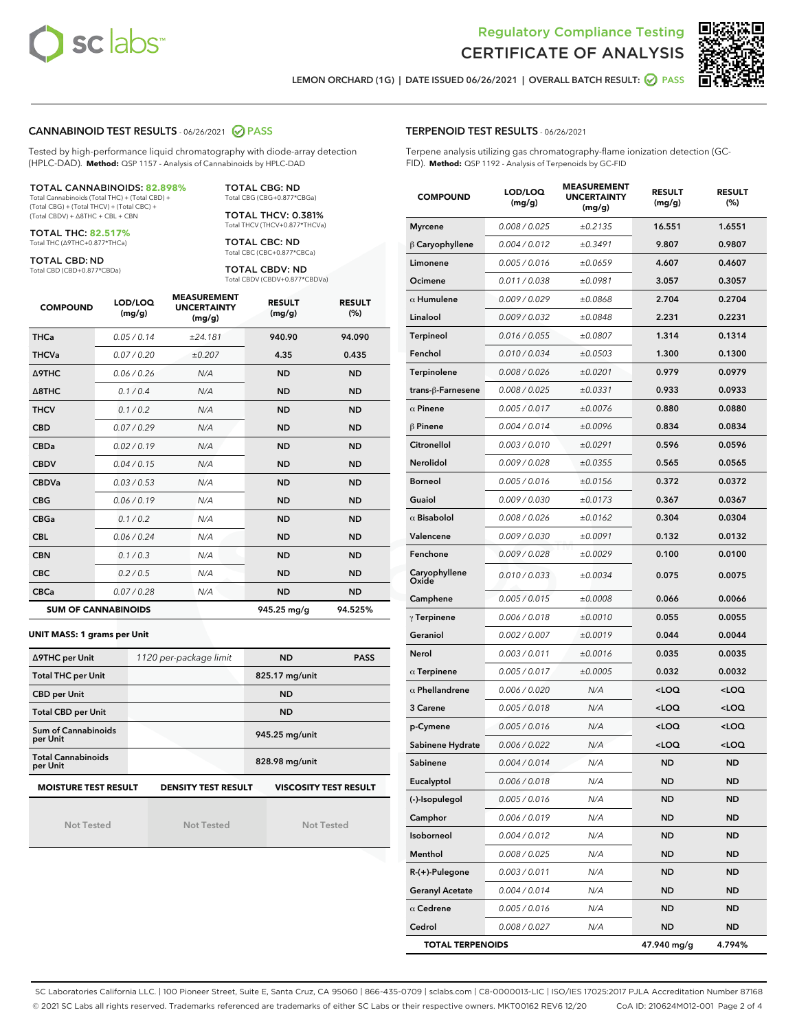



LEMON ORCHARD (1G) | DATE ISSUED 06/26/2021 | OVERALL BATCH RESULT: **○** PASS

# CANNABINOID TEST RESULTS - 06/26/2021 @ PASS

Tested by high-performance liquid chromatography with diode-array detection (HPLC-DAD). **Method:** QSP 1157 - Analysis of Cannabinoids by HPLC-DAD

#### TOTAL CANNABINOIDS: **82.898%**

Total Cannabinoids (Total THC) + (Total CBD) + (Total CBG) + (Total THCV) + (Total CBC) + (Total CBDV) + ∆8THC + CBL + CBN

TOTAL THC: **82.517%** Total THC (∆9THC+0.877\*THCa)

TOTAL CBD: ND

Total CBD (CBD+0.877\*CBDa)

TOTAL CBG: ND Total CBG (CBG+0.877\*CBGa)

TOTAL THCV: 0.381% Total THCV (THCV+0.877\*THCVa)

TOTAL CBC: ND Total CBC (CBC+0.877\*CBCa)

TOTAL CBDV: ND Total CBDV (CBDV+0.877\*CBDVa)

| <b>COMPOUND</b>  | LOD/LOQ<br>(mg/g)          | <b>MEASUREMENT</b><br><b>UNCERTAINTY</b><br>(mg/g) | <b>RESULT</b><br>(mg/g) | <b>RESULT</b><br>(%) |
|------------------|----------------------------|----------------------------------------------------|-------------------------|----------------------|
| <b>THCa</b>      | 0.05/0.14                  | ±24.181                                            | 940.90                  | 94.090               |
| <b>THCVa</b>     | 0.07 / 0.20                | ±0.207                                             | 4.35                    | 0.435                |
| <b>A9THC</b>     | 0.06/0.26                  | N/A                                                | <b>ND</b>               | <b>ND</b>            |
| $\triangle$ 8THC | 0.1/0.4                    | N/A                                                | <b>ND</b>               | <b>ND</b>            |
| <b>THCV</b>      | 0.1/0.2                    | N/A                                                | <b>ND</b>               | <b>ND</b>            |
| <b>CBD</b>       | 0.07/0.29                  | N/A                                                | <b>ND</b>               | <b>ND</b>            |
| <b>CBDa</b>      | 0.02/0.19                  | N/A                                                | <b>ND</b>               | <b>ND</b>            |
| <b>CBDV</b>      | 0.04/0.15                  | N/A                                                | <b>ND</b>               | <b>ND</b>            |
| <b>CBDVa</b>     | 0.03/0.53                  | N/A                                                | <b>ND</b>               | <b>ND</b>            |
| <b>CBG</b>       | 0.06/0.19                  | N/A                                                | <b>ND</b>               | <b>ND</b>            |
| <b>CBGa</b>      | 0.1/0.2                    | N/A                                                | <b>ND</b>               | <b>ND</b>            |
| <b>CBL</b>       | 0.06 / 0.24                | N/A                                                | <b>ND</b>               | <b>ND</b>            |
| <b>CBN</b>       | 0.1/0.3                    | N/A                                                | <b>ND</b>               | <b>ND</b>            |
| <b>CBC</b>       | 0.2 / 0.5                  | N/A                                                | <b>ND</b>               | <b>ND</b>            |
| <b>CBCa</b>      | 0.07/0.28                  | N/A                                                | <b>ND</b>               | <b>ND</b>            |
|                  | <b>SUM OF CANNABINOIDS</b> |                                                    | 945.25 mg/g             | 94.525%              |

#### **UNIT MASS: 1 grams per Unit**

| ∆9THC per Unit                        | 1120 per-package limit     | <b>ND</b><br><b>PASS</b> |                              |  |
|---------------------------------------|----------------------------|--------------------------|------------------------------|--|
| <b>Total THC per Unit</b>             |                            | 825.17 mg/unit           |                              |  |
| <b>CBD per Unit</b>                   |                            | <b>ND</b>                |                              |  |
| <b>Total CBD per Unit</b>             |                            | <b>ND</b>                |                              |  |
| Sum of Cannabinoids<br>per Unit       |                            | 945.25 mg/unit           |                              |  |
| <b>Total Cannabinoids</b><br>per Unit |                            | 828.98 mg/unit           |                              |  |
| <b>MOISTURE TEST RESULT</b>           | <b>DENSITY TEST RESULT</b> |                          | <b>VISCOSITY TEST RESULT</b> |  |

Not Tested

**MOISTURE TEST RESULT**

Not Tested

Not Tested

|  | <b>TERPENOID TEST RESULTS - 06/26/2021</b> |
|--|--------------------------------------------|
|--|--------------------------------------------|

Terpene analysis utilizing gas chromatography-flame ionization detection (GC-FID). **Method:** QSP 1192 - Analysis of Terpenoids by GC-FID

| <b>COMPOUND</b>         | LOD/LOQ<br>(mg/g) | <b>MEASUREMENT</b><br><b>UNCERTAINTY</b><br>(mg/g) | <b>RESULT</b><br>(mg/g)                         | <b>RESULT</b><br>(%) |
|-------------------------|-------------------|----------------------------------------------------|-------------------------------------------------|----------------------|
| <b>Myrcene</b>          | 0.008 / 0.025     | ±0.2135                                            | 16.551                                          | 1.6551               |
| $\beta$ Caryophyllene   | 0.004 / 0.012     | ±0.3491                                            | 9.807                                           | 0.9807               |
| Limonene                | 0.005 / 0.016     | ±0.0659                                            | 4.607                                           | 0.4607               |
| Ocimene                 | 0.011 / 0.038     | ±0.0981                                            | 3.057                                           | 0.3057               |
| $\alpha$ Humulene       | 0.009/0.029       | ±0.0868                                            | 2.704                                           | 0.2704               |
| Linalool                | 0.009 / 0.032     | ±0.0848                                            | 2.231                                           | 0.2231               |
| <b>Terpineol</b>        | 0.016 / 0.055     | ±0.0807                                            | 1.314                                           | 0.1314               |
| Fenchol                 | 0.010 / 0.034     | ±0.0503                                            | 1.300                                           | 0.1300               |
| Terpinolene             | 0.008 / 0.026     | ±0.0201                                            | 0.979                                           | 0.0979               |
| trans-ß-Farnesene       | 0.008 / 0.025     | ±0.0331                                            | 0.933                                           | 0.0933               |
| $\alpha$ Pinene         | 0.005 / 0.017     | ±0.0076                                            | 0.880                                           | 0.0880               |
| $\beta$ Pinene          | 0.004 / 0.014     | ±0.0096                                            | 0.834                                           | 0.0834               |
| Citronellol             | 0.003 / 0.010     | ±0.0291                                            | 0.596                                           | 0.0596               |
| Nerolidol               | 0.009 / 0.028     | ±0.0355                                            | 0.565                                           | 0.0565               |
| <b>Borneol</b>          | 0.005 / 0.016     | ±0.0156                                            | 0.372                                           | 0.0372               |
| Guaiol                  | 0.009 / 0.030     | ±0.0173                                            | 0.367                                           | 0.0367               |
| $\alpha$ Bisabolol      | 0.008 / 0.026     | ±0.0162                                            | 0.304                                           | 0.0304               |
| Valencene               | 0.009 / 0.030     | ±0.0091                                            | 0.132                                           | 0.0132               |
| Fenchone                | 0.009 / 0.028     | ±0.0029                                            | 0.100                                           | 0.0100               |
| Caryophyllene<br>Oxide  | 0.010 / 0.033     | ±0.0034                                            | 0.075                                           | 0.0075               |
| Camphene                | 0.005 / 0.015     | ±0.0008                                            | 0.066                                           | 0.0066               |
| $\gamma$ Terpinene      | 0.006 / 0.018     | ±0.0010                                            | 0.055                                           | 0.0055               |
| Geraniol                | 0.002 / 0.007     | ±0.0019                                            | 0.044                                           | 0.0044               |
| Nerol                   | 0.003 / 0.011     | ±0.0016                                            | 0.035                                           | 0.0035               |
| $\alpha$ Terpinene      | 0.005 / 0.017     | ±0.0005                                            | 0.032                                           | 0.0032               |
| $\alpha$ Phellandrene   | 0.006 / 0.020     | N/A                                                | <loq< th=""><th><loq< th=""></loq<></th></loq<> | <loq< th=""></loq<>  |
| 3 Carene                | 0.005 / 0.018     | N/A                                                | <loq< th=""><th><loq< th=""></loq<></th></loq<> | <loq< th=""></loq<>  |
| p-Cymene                | 0.005 / 0.016     | N/A                                                | <loq< th=""><th><loq< th=""></loq<></th></loq<> | <loq< th=""></loq<>  |
| Sabinene Hydrate        | 0.006 / 0.022     | N/A                                                | <loq< th=""><th><loq< th=""></loq<></th></loq<> | <loq< th=""></loq<>  |
| Sabinene                | 0.004 / 0.014     | N/A                                                | ND                                              | <b>ND</b>            |
| Eucalyptol              | 0.006 / 0.018     | N/A                                                | ND                                              | ND                   |
| (-)-Isopulegol          | 0.005 / 0.016     | N/A                                                | <b>ND</b>                                       | <b>ND</b>            |
| Camphor                 | 0.006 / 0.019     | N/A                                                | ND                                              | <b>ND</b>            |
| Isoborneol              | 0.004 / 0.012     | N/A                                                | ND                                              | <b>ND</b>            |
| Menthol                 | 0.008 / 0.025     | N/A                                                | ND                                              | ND                   |
| $R-(+)$ -Pulegone       | 0.003 / 0.011     | N/A                                                | ND                                              | ND                   |
| <b>Geranyl Acetate</b>  | 0.004 / 0.014     | N/A                                                | ND                                              | ND                   |
| $\alpha$ Cedrene        | 0.005 / 0.016     | N/A                                                | ND                                              | ND                   |
| Cedrol                  | 0.008 / 0.027     | N/A                                                | ND                                              | ND                   |
| <b>TOTAL TERPENOIDS</b> |                   |                                                    | 47.940 mg/g                                     | 4.794%               |

SC Laboratories California LLC. | 100 Pioneer Street, Suite E, Santa Cruz, CA 95060 | 866-435-0709 | sclabs.com | C8-0000013-LIC | ISO/IES 17025:2017 PJLA Accreditation Number 87168 © 2021 SC Labs all rights reserved. Trademarks referenced are trademarks of either SC Labs or their respective owners. MKT00162 REV6 12/20 CoA ID: 210624M012-001 Page 2 of 4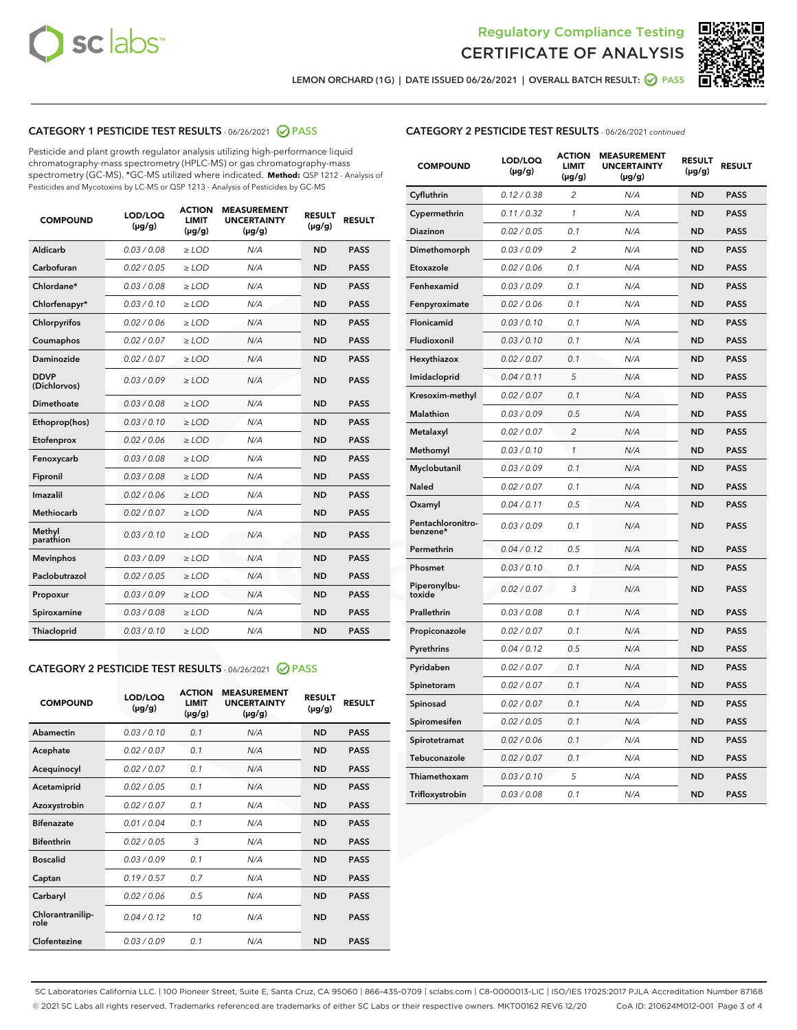![](_page_2_Picture_0.jpeg)

![](_page_2_Picture_2.jpeg)

LEMON ORCHARD (1G) | DATE ISSUED 06/26/2021 | OVERALL BATCH RESULT:  $\bigcirc$  PASS

# CATEGORY 1 PESTICIDE TEST RESULTS - 06/26/2021 2 PASS

Pesticide and plant growth regulator analysis utilizing high-performance liquid chromatography-mass spectrometry (HPLC-MS) or gas chromatography-mass spectrometry (GC-MS). \*GC-MS utilized where indicated. **Method:** QSP 1212 - Analysis of Pesticides and Mycotoxins by LC-MS or QSP 1213 - Analysis of Pesticides by GC-MS

| <b>COMPOUND</b>             | LOD/LOQ<br>$(\mu g/g)$ | <b>ACTION</b><br><b>LIMIT</b><br>$(\mu g/g)$ | <b>MEASUREMENT</b><br><b>UNCERTAINTY</b><br>$(\mu g/g)$ | <b>RESULT</b><br>$(\mu g/g)$ | <b>RESULT</b> |
|-----------------------------|------------------------|----------------------------------------------|---------------------------------------------------------|------------------------------|---------------|
| Aldicarb                    | 0.03 / 0.08            | $\geq$ LOD                                   | N/A                                                     | <b>ND</b>                    | <b>PASS</b>   |
| Carbofuran                  | 0.02/0.05              | $\ge$ LOD                                    | N/A                                                     | <b>ND</b>                    | <b>PASS</b>   |
| Chlordane*                  | 0.03 / 0.08            | $\ge$ LOD                                    | N/A                                                     | <b>ND</b>                    | <b>PASS</b>   |
| Chlorfenapyr*               | 0.03/0.10              | $\ge$ LOD                                    | N/A                                                     | <b>ND</b>                    | <b>PASS</b>   |
| Chlorpyrifos                | 0.02 / 0.06            | $\ge$ LOD                                    | N/A                                                     | <b>ND</b>                    | <b>PASS</b>   |
| Coumaphos                   | 0.02 / 0.07            | $\ge$ LOD                                    | N/A                                                     | <b>ND</b>                    | <b>PASS</b>   |
| Daminozide                  | 0.02 / 0.07            | $\ge$ LOD                                    | N/A                                                     | <b>ND</b>                    | <b>PASS</b>   |
| <b>DDVP</b><br>(Dichlorvos) | 0.03/0.09              | $\ge$ LOD                                    | N/A                                                     | <b>ND</b>                    | <b>PASS</b>   |
| Dimethoate                  | 0.03 / 0.08            | $\ge$ LOD                                    | N/A                                                     | <b>ND</b>                    | <b>PASS</b>   |
| Ethoprop(hos)               | 0.03/0.10              | $\ge$ LOD                                    | N/A                                                     | <b>ND</b>                    | <b>PASS</b>   |
| Etofenprox                  | 0.02/0.06              | $\ge$ LOD                                    | N/A                                                     | <b>ND</b>                    | <b>PASS</b>   |
| Fenoxycarb                  | 0.03/0.08              | $\ge$ LOD                                    | N/A                                                     | <b>ND</b>                    | <b>PASS</b>   |
| Fipronil                    | 0.03/0.08              | $\ge$ LOD                                    | N/A                                                     | <b>ND</b>                    | <b>PASS</b>   |
| Imazalil                    | 0.02 / 0.06            | $\ge$ LOD                                    | N/A                                                     | <b>ND</b>                    | <b>PASS</b>   |
| <b>Methiocarb</b>           | 0.02 / 0.07            | $\ge$ LOD                                    | N/A                                                     | <b>ND</b>                    | <b>PASS</b>   |
| Methyl<br>parathion         | 0.03/0.10              | $\ge$ LOD                                    | N/A                                                     | <b>ND</b>                    | <b>PASS</b>   |
| <b>Mevinphos</b>            | 0.03/0.09              | $\ge$ LOD                                    | N/A                                                     | <b>ND</b>                    | <b>PASS</b>   |
| Paclobutrazol               | 0.02 / 0.05            | $\ge$ LOD                                    | N/A                                                     | <b>ND</b>                    | <b>PASS</b>   |
| Propoxur                    | 0.03/0.09              | $\ge$ LOD                                    | N/A                                                     | <b>ND</b>                    | <b>PASS</b>   |
| Spiroxamine                 | 0.03 / 0.08            | $\ge$ LOD                                    | N/A                                                     | <b>ND</b>                    | <b>PASS</b>   |
| <b>Thiacloprid</b>          | 0.03/0.10              | $\ge$ LOD                                    | N/A                                                     | <b>ND</b>                    | <b>PASS</b>   |
|                             |                        |                                              |                                                         |                              |               |

# CATEGORY 2 PESTICIDE TEST RESULTS - 06/26/2021 @ PASS

| <b>COMPOUND</b>          | LOD/LOQ<br>$(\mu g/g)$ | <b>ACTION</b><br>LIMIT<br>$(\mu g/g)$ | <b>MEASUREMENT</b><br><b>UNCERTAINTY</b><br>$(\mu g/g)$ | <b>RESULT</b><br>$(\mu g/g)$ | <b>RESULT</b> |
|--------------------------|------------------------|---------------------------------------|---------------------------------------------------------|------------------------------|---------------|
| Abamectin                | 0.03/0.10              | 0.1                                   | N/A                                                     | <b>ND</b>                    | <b>PASS</b>   |
| Acephate                 | 0.02/0.07              | 0.1                                   | N/A                                                     | <b>ND</b>                    | <b>PASS</b>   |
| Acequinocyl              | 0.02/0.07              | 0.1                                   | N/A                                                     | <b>ND</b>                    | <b>PASS</b>   |
| Acetamiprid              | 0.02/0.05              | 0.1                                   | N/A                                                     | <b>ND</b>                    | <b>PASS</b>   |
| Azoxystrobin             | 0.02/0.07              | 0.1                                   | N/A                                                     | <b>ND</b>                    | <b>PASS</b>   |
| <b>Bifenazate</b>        | 0.01/0.04              | 0.1                                   | N/A                                                     | <b>ND</b>                    | <b>PASS</b>   |
| <b>Bifenthrin</b>        | 0.02/0.05              | 3                                     | N/A                                                     | <b>ND</b>                    | <b>PASS</b>   |
| <b>Boscalid</b>          | 0.03/0.09              | 0.1                                   | N/A                                                     | <b>ND</b>                    | <b>PASS</b>   |
| Captan                   | 0.19/0.57              | 0.7                                   | N/A                                                     | <b>ND</b>                    | <b>PASS</b>   |
| Carbaryl                 | 0.02/0.06              | 0.5                                   | N/A                                                     | <b>ND</b>                    | <b>PASS</b>   |
| Chlorantranilip-<br>role | 0.04/0.12              | 10                                    | N/A                                                     | <b>ND</b>                    | <b>PASS</b>   |
| Clofentezine             | 0.03/0.09              | 0.1                                   | N/A                                                     | <b>ND</b>                    | <b>PASS</b>   |

# CATEGORY 2 PESTICIDE TEST RESULTS - 06/26/2021 continued

| <b>COMPOUND</b>               | LOD/LOQ<br>(µg/g) | <b>ACTION</b><br><b>LIMIT</b><br>(µg/g) | <b>MEASUREMENT</b><br><b>UNCERTAINTY</b><br>(µg/g) | <b>RESULT</b><br>(µg/g) | <b>RESULT</b> |
|-------------------------------|-------------------|-----------------------------------------|----------------------------------------------------|-------------------------|---------------|
| Cyfluthrin                    | 0.12 / 0.38       | $\overline{c}$                          | N/A                                                | <b>ND</b>               | <b>PASS</b>   |
| Cypermethrin                  | 0.11/0.32         | 1                                       | N/A                                                | <b>ND</b>               | <b>PASS</b>   |
| <b>Diazinon</b>               | 0.02 / 0.05       | 0.1                                     | N/A                                                | <b>ND</b>               | <b>PASS</b>   |
| Dimethomorph                  | 0.03 / 0.09       | 2                                       | N/A                                                | <b>ND</b>               | <b>PASS</b>   |
| Etoxazole                     | 0.02 / 0.06       | 0.1                                     | N/A                                                | <b>ND</b>               | <b>PASS</b>   |
| Fenhexamid                    | 0.03 / 0.09       | 0.1                                     | N/A                                                | <b>ND</b>               | <b>PASS</b>   |
| Fenpyroximate                 | 0.02 / 0.06       | 0.1                                     | N/A                                                | <b>ND</b>               | <b>PASS</b>   |
| Flonicamid                    | 0.03/0.10         | 0.1                                     | N/A                                                | <b>ND</b>               | <b>PASS</b>   |
| Fludioxonil                   | 0.03 / 0.10       | 0.1                                     | N/A                                                | <b>ND</b>               | <b>PASS</b>   |
| Hexythiazox                   | 0.02 / 0.07       | 0.1                                     | N/A                                                | <b>ND</b>               | <b>PASS</b>   |
| Imidacloprid                  | 0.04 / 0.11       | 5                                       | N/A                                                | <b>ND</b>               | <b>PASS</b>   |
| Kresoxim-methyl               | 0.02 / 0.07       | 0.1                                     | N/A                                                | <b>ND</b>               | <b>PASS</b>   |
| <b>Malathion</b>              | 0.03 / 0.09       | 0.5                                     | N/A                                                | <b>ND</b>               | <b>PASS</b>   |
| Metalaxyl                     | 0.02 / 0.07       | $\overline{c}$                          | N/A                                                | <b>ND</b>               | <b>PASS</b>   |
| Methomyl                      | 0.03 / 0.10       | 1                                       | N/A                                                | <b>ND</b>               | <b>PASS</b>   |
| Myclobutanil                  | 0.03 / 0.09       | 0.1                                     | N/A                                                | <b>ND</b>               | <b>PASS</b>   |
| Naled                         | 0.02 / 0.07       | 0.1                                     | N/A                                                | <b>ND</b>               | <b>PASS</b>   |
| Oxamyl                        | 0.04 / 0.11       | 0.5                                     | N/A                                                | <b>ND</b>               | <b>PASS</b>   |
| Pentachloronitro-<br>benzene* | 0.03 / 0.09       | 0.1                                     | N/A                                                | <b>ND</b>               | <b>PASS</b>   |
| Permethrin                    | 0.04 / 0.12       | 0.5                                     | N/A                                                | <b>ND</b>               | <b>PASS</b>   |
| Phosmet                       | 0.03 / 0.10       | 0.1                                     | N/A                                                | <b>ND</b>               | <b>PASS</b>   |
| Piperonylbu-<br>toxide        | 0.02 / 0.07       | 3                                       | N/A                                                | <b>ND</b>               | <b>PASS</b>   |
| Prallethrin                   | 0.03 / 0.08       | 0.1                                     | N/A                                                | <b>ND</b>               | <b>PASS</b>   |
| Propiconazole                 | 0.02 / 0.07       | 0.1                                     | N/A                                                | <b>ND</b>               | <b>PASS</b>   |
| Pyrethrins                    | 0.04 / 0.12       | 0.5                                     | N/A                                                | ND                      | <b>PASS</b>   |
| Pyridaben                     | 0.02 / 0.07       | 0.1                                     | N/A                                                | <b>ND</b>               | <b>PASS</b>   |
| Spinetoram                    | 0.02 / 0.07       | 0.1                                     | N/A                                                | <b>ND</b>               | <b>PASS</b>   |
| Spinosad                      | 0.02 / 0.07       | 0.1                                     | N/A                                                | <b>ND</b>               | <b>PASS</b>   |
| Spiromesifen                  | 0.02 / 0.05       | 0.1                                     | N/A                                                | <b>ND</b>               | <b>PASS</b>   |
| Spirotetramat                 | 0.02 / 0.06       | 0.1                                     | N/A                                                | <b>ND</b>               | <b>PASS</b>   |
| Tebuconazole                  | 0.02 / 0.07       | 0.1                                     | N/A                                                | <b>ND</b>               | <b>PASS</b>   |
| Thiamethoxam                  | 0.03 / 0.10       | 5                                       | N/A                                                | <b>ND</b>               | <b>PASS</b>   |
| Trifloxystrobin               | 0.03 / 0.08       | 0.1                                     | N/A                                                | <b>ND</b>               | <b>PASS</b>   |

SC Laboratories California LLC. | 100 Pioneer Street, Suite E, Santa Cruz, CA 95060 | 866-435-0709 | sclabs.com | C8-0000013-LIC | ISO/IES 17025:2017 PJLA Accreditation Number 87168 © 2021 SC Labs all rights reserved. Trademarks referenced are trademarks of either SC Labs or their respective owners. MKT00162 REV6 12/20 CoA ID: 210624M012-001 Page 3 of 4